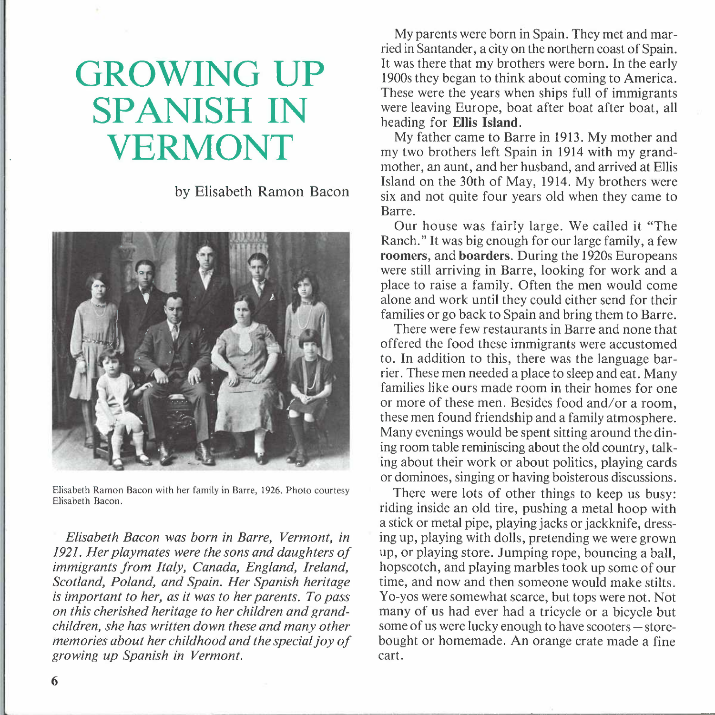# **GROWING UP SPANISH IN VERMONT**

by Elisabeth Ramon Bacon



Elisabeth Ramon Bacon with her family in Barre, 1926. Photo courtesy Elisabeth Bacon.

*Elisabeth Bacon was born in Barre, Vermont, in 1921. Her playmates were the sons and daughters of immigrants from Italy, Canada, England, Ireland, Scotland, Poland, and Spain. Her Spanish heritage is important to her, as it was to her parents. To pass on this cherished heritage to her children and grandchildren, she has written down these and many other memories about her childhood and the special joy of growing up Spanish in Vermont.* 

My parents were born in Spain. They met and married in Santander, a city on the northern coast of Spain. It was there that my brothers were born. In the early 1900s they began to think about coming to America. These were the years when ships full of immigrants were leaving Europe, boat after boat after boat, all heading for **Ellis Island.** 

My father came to Barre in 1913. My mother and my two brothers left Spain in 1914 with my grandmother, an aunt, and her husband, and arrived at Ellis Island on the 30th of May, 1914. My brothers were six and not quite four years old when they came to Barre.

Our house was fairly large. We called it "The Ranch." It was big enough for our large family, a few **roomers,** and **boarders.** During the 1920s Europeans were still arriving in Barre, looking for work and a place to raise a family. Often the men would come alone and work until they could either send for their families or go back to Spain and bring them to Barre.

There were few restaurants in Barre and none that offered the food these immigrants were accustomed to. In addition to this, there was the language barrier. These men needed a place to sleep and eat. Many families like ours made room in their homes for one or more of these men. Besides food and/or a room, these men found friendship and a family atmosphere. Many evenings would be spent sitting around the dining room table reminiscing about the old country, talking about their work or about politics, playing cards or dominoes, singing or having boisterous discussions.

There were lots of other things to keep us busy: riding inside an old tire, pushing a metal hoop with a stick or metal pipe, playing jacks or jackknife, dressing up, playing with dolls, pretending we were grown up, or playing store. Jumping rope, bouncing a ball, hopscotch, and playing marbles took up some of our time, and now and then someone would make stilts. Yo-yos were somewhat scarce, but tops were not. Not many of us had ever had a tricycle or a bicycle but some of us were lucky enough to have scooters – storebought or homemade. An orange crate made a fine cart.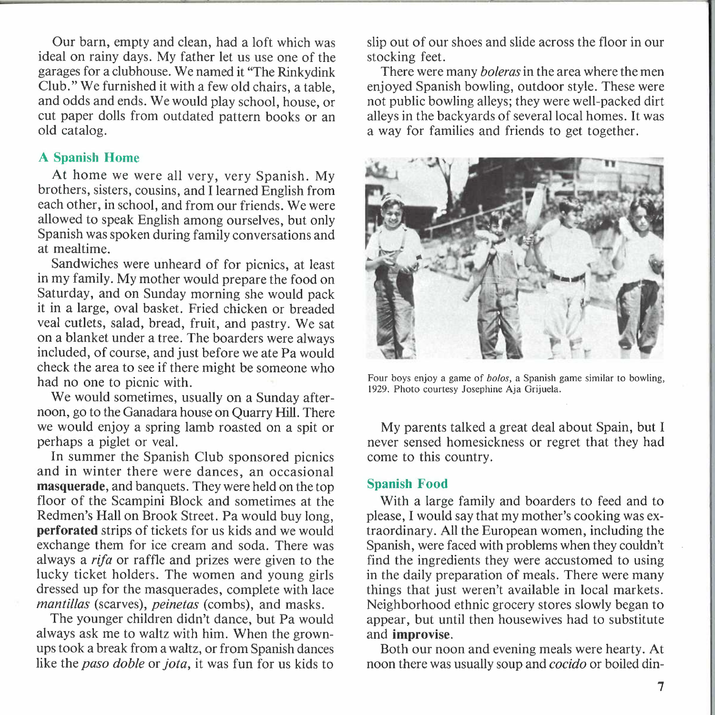Our barn, empty and clean, had a loft which was ideal on rainy days. My father let us use one of the garages for a clubhouse. We named it "The Rinkydink Club." We furnished it with a few old chairs, a table, and odds and ends. We would play school, house, or cut paper dolls from outdated pattern books or an old catalog.

## **A Spanish Home**

At home we were all very, very Spanish. My brothers, sisters, cousins, and I learned English from each other, in school, and from our friends. We were allowed to speak English among ourselves, but only Spanish was spoken during family conversations and at mealtime.

Sandwiches were unheard of for picnics, at least in my family. My mother would prepare the food on Saturday, and on Sunday morning she would pack it in a large, oval basket. Fried chicken or breaded veal cutlets, salad, bread, fruit, and pastry. We sat on a blanket under a tree. The boarders were always included, of course, and just before we ate Pa would check the area to see if there might be someone who had no one to picnic with.

We would sometimes, usually on a Sunday afternoon, go to the Ganadara house on Quarry Hill. There we would enjoy a spring lamb roasted on a spit or perhaps a piglet or veal.

In summer the Spanish Club sponsored picnics and in winter there were dances, an occasional **masquerade,** and banquets. They were held on the top floor of the Scampini Block and sometimes at the Redmen's Hall on Brook Street. Pa would buy long, **perforated** strips of tickets for us kids and we would exchange them for ice cream and soda. There was always a *rifa* or raffle and prizes were given to the lucky ticket holders. The women and young girls dressed up for the masquerades, complete with lace *mantillas* (scarves), *peinetas* (combs), and masks.

The younger children didn't dance, but Pa would always ask me to waltz with him. When the grownups took a break from a waltz, or from Spanish dances like the *paso doble* or *jota,* it was fun for us kids to

slip out of our shoes and slide across the floor in our stocking feet.

There were many *boleras* in the area where the men enjoyed Spanish bowling, outdoor style. These were not public bowling alleys; they were well-packed dirt alleys in the backyards of several local homes. It was a way for families and friends to get together.



Four boys enjoy a game of *bolos,* a Spanish game similar to bowling, 1929. Photo courtesy Josephine Aja Grijuela.

My parents talked a great deal about Spain, but I never sensed homesickness or regret that they had come to this country.

#### **Spanish Food**

With a large family and boarders to feed and to please, I would say that my mother's cooking was extraordinary. All the European women, including the Spanish, were faced with problems when they couldn't find the ingredients they were accustomed to using in the daily preparation of meals. There were many things that just weren't available in local markets. Neighborhood ethnic grocery stores slowly began to appear, but until then housewives had to substitute and **improvise.** 

Both our noon and evening meals were hearty. At noon there was usually soup and *cocido* or boiled din